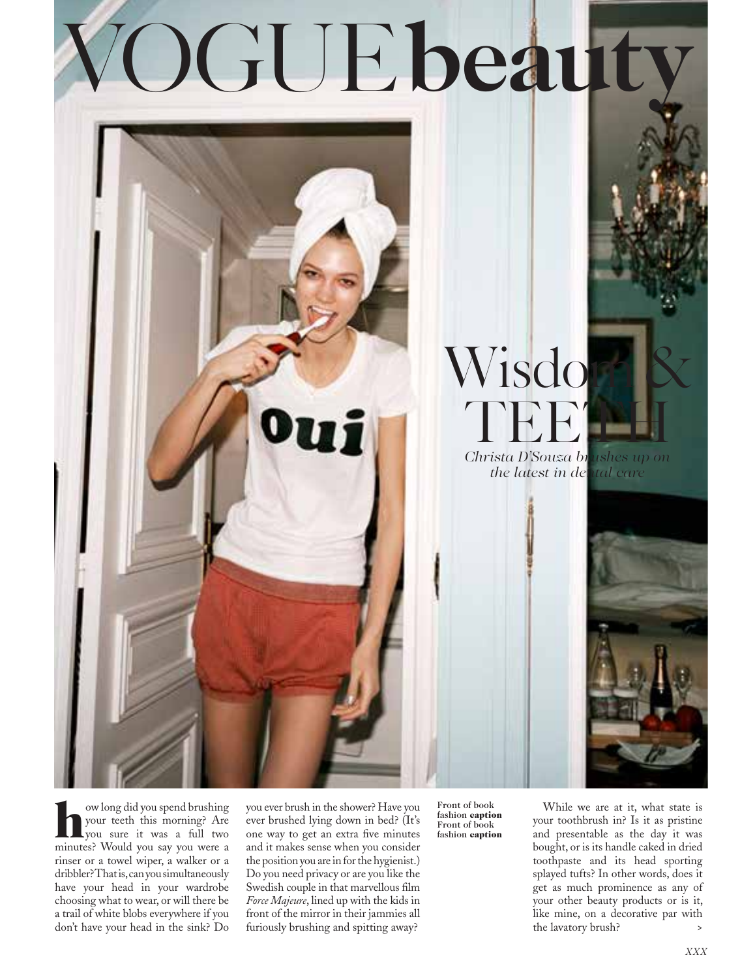# VOGUE **beauty**



w long did you spend brushing<br>your teeth this morning? Are<br>you sure it was a full two<br>minutee? Would you can you were a your teeth this morning? Are you sure it was a full two minutes? Would you say you were a rinser or a towel wiper, a walker or a dribbler? That is, can you simultaneously have your head in your wardrobe choosing what to wear, or will there be a trail of white blobs everywhere if you don't have your head in the sink? Do

you ever brush in the shower? Have you ever brushed lying down in bed? (It's one way to get an extra five minutes and it makes sense when you consider the position you are in for the hygienist.) Do you need privacy or are you like the Swedish couple in that marvellous film *Force Majeure*, lined up with the kids in front of the mirror in their jammies all furiously brushing and spitting away?

Front of book fashion caption Front of book fashion caption

While we are at it, what state is your toothbrush in? Is it as pristine and presentable as the day it was bought, or is its handle caked in dried toothpaste and its head sporting splayed tufts? In other words, does it get as much prominence as any of your other beauty products or is it, like mine, on a decorative par with the lavatory brush?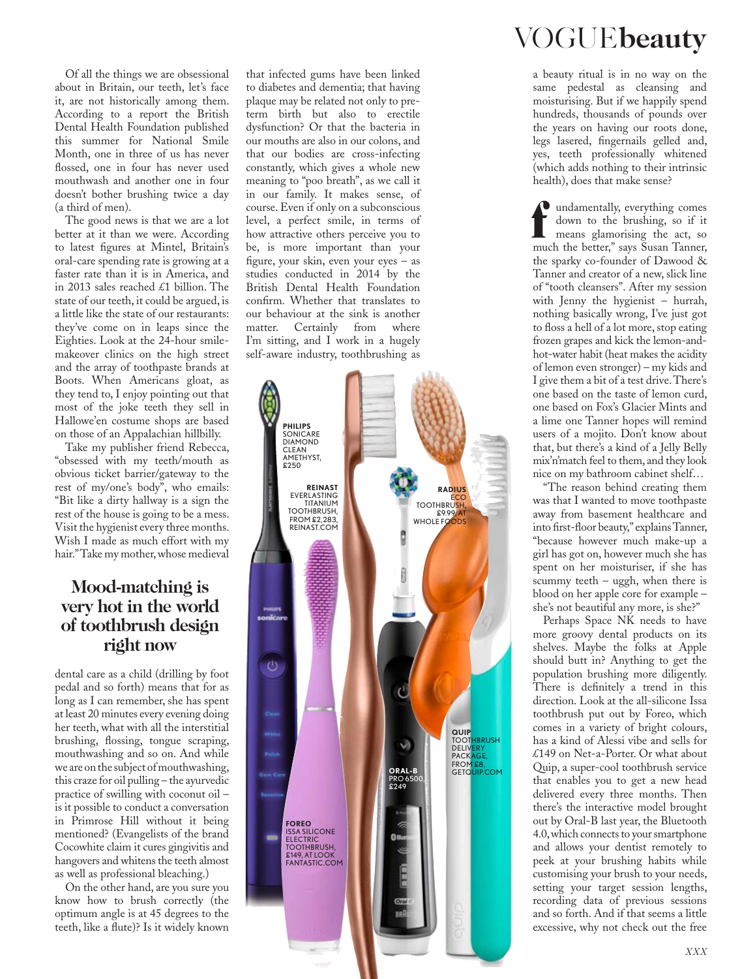Of all the things we are obsessional about in Britain, our teeth, let's face it, are not historically among them. According to a report the British Dental Health Foundation published this summer for National Smile Month, one in three of us has never flossed, one in four has never used mouthwash and another one in four doesn't bother brushing twice a day (a third of men).

The good news is that we are a lot better at it than we were. According to latest figures at Mintel, Britain's oral-care spending rate is growing at a faster rate than it is in America, and in 2013 sales reached £1 billion. The state of our teeth, it could be argued, is a little like the state of our restaurants: they've come on in leaps since the Eighties. Look at the 24-hour smilemakeover clinics on the high street and the array of toothpaste brands at Boots. When Americans gloat, as they tend to, I enjoy pointing out that most of the joke teeth they sell in Hallowe'en costume shops are based on those of an Appalachian hillbilly.

Take my publisher friend Rebecca, "obsessed with my teeth/mouth as obvious ticket barrier/gateway to the rest of my/one's body", who emails: "Bit like a dirty hallway is a sign the rest of the house is going to be a mess. Visit the hygienist every three months. Wish I made as much effort with my hair." Take my mother, whose medieval

#### **Mood-matching is very hot in the world of toothbrush design right now**

dental care as a child (drilling by foot pedal and so forth) means that for as long as I can remember, she has spent at least 20 minutes every evening doing her teeth, what with all the interstitial brushing, flossing, tongue scraping, mouthwashing and so on. And while we are on the subject of mouthwashing, this craze for oil pulling – the ayurvedic practice of swilling with coconut oil – is it possible to conduct a conversation in Primrose Hill without it being mentioned? (Evangelists of the brand Cocowhite claim it cures gingivitis and hangovers and whitens the teeth almost as well as professional bleaching.)

On the other hand, are you sure you know how to brush correctly (the optimum angle is at 45 degrees to the teeth, like a flute)? Is it widely known

that infected gums have been linked to diabetes and dementia; that having plaque may be related not only to preterm birth but also to erectile dysfunction? Or that the bacteria in our mouths are also in our colons, and that our bodies are cross-infecting constantly, which gives a whole new meaning to "poo breath", as we call it in our family. It makes sense, of course. Even if only on a subconscious level, a perfect smile, in terms of how attractive others perceive you to be, is more important than your figure, your skin, even your eyes – as studies conducted in 2014 by the British Dental Health Foundation confirm. Whether that translates to our behaviour at the sink is another matter. Certainly from where I'm sitting, and I work in a hugely self-aware industry, toothbrushing as



## VOGUE **beauty**

a beauty ritual is in no way on the same pedestal as cleansing and moisturising. But if we happily spend hundreds, thousands of pounds over the years on having our roots done, legs lasered, fingernails gelled and, yes, teeth professionally whitened (which adds nothing to their intrinsic health), does that make sense?

**f** undamentally, everything comes<br>down to the brushing, so if it<br>means glamorising the act, so<br>much the better," says Susan Tanner,  $\bullet$  undamentally, everything comes down to the brushing, so if it means glamorising the act, so the sparky co-founder of Dawood & Tanner and creator of a new, slick line of "tooth cleansers". After my session with Jenny the hygienist – hurrah, nothing basically wrong, I've just got to floss a hell of a lot more, stop eating frozen grapes and kick the lemon-andhot-water habit (heat makes the acidity of lemon even stronger) – my kids and I give them a bit of a test drive. There's one based on the taste of lemon curd, one based on Fox's Glacier Mints and a lime one Tanner hopes will remind users of a mojito. Don't know about that, but there's a kind of a Jelly Belly mix'n'match feel to them, and they look nice on my bathroom cabinet shelf…

"The reason behind creating them was that I wanted to move toothpaste away from basement healthcare and into first-floor beauty," explains Tanner, "because however much make-up a girl has got on, however much she has spent on her moisturiser, if she has scummy teeth – uggh, when there is blood on her apple core for example – she's not beautiful any more, is she?"

Perhaps Space NK needs to have more groovy dental products on its shelves. Maybe the folks at Apple should butt in? Anything to get the population brushing more diligently. There is definitely a trend in this direction. Look at the all-silicone Issa toothbrush put out by Foreo, which comes in a variety of bright colours, has a kind of Alessi vibe and sells for £149 on Net-a-Porter. Or what about Quip, a super-cool toothbrush service that enables you to get a new head delivered every three months. Then there's the interactive model brought out by Oral-B last year, the Bluetooth 4.0, which connects to your smartphone and allows your dentist remotely to peek at your brushing habits while customising your brush to your needs, setting your target session lengths, recording data of previous sessions and so forth. And if that seems a little excessive, why not check out the free